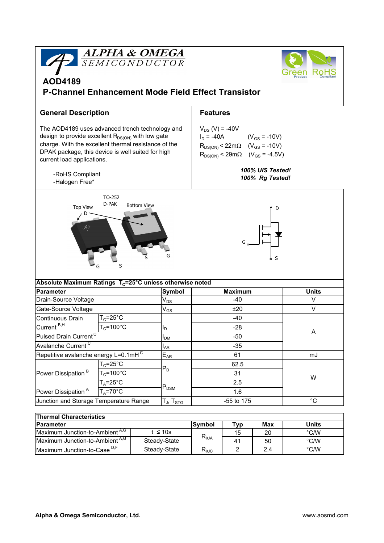

| <b>Thermal Characteristics</b>             |              |                |                       |     |               |  |  |  |  |  |
|--------------------------------------------|--------------|----------------|-----------------------|-----|---------------|--|--|--|--|--|
| <b>IParameter</b>                          |              | <b>Symbol</b>  | ⊤ур                   | Max | Units         |  |  |  |  |  |
| Maximum Junction-to-Ambient <sup>A,G</sup> | ≤ 10s        | $R_{\theta$ JA | 15                    | 20  | $\degree$ C/W |  |  |  |  |  |
| Maximum Junction-to-Ambient <sup>A,G</sup> | Steady-State |                | $\mathbf{4}^{\prime}$ | 50  | °C/W          |  |  |  |  |  |
| Maximum Junction-to-Case <sup>D,F</sup>    | Steady-State | $R_{\theta$ JC |                       | 2.4 | °C/W          |  |  |  |  |  |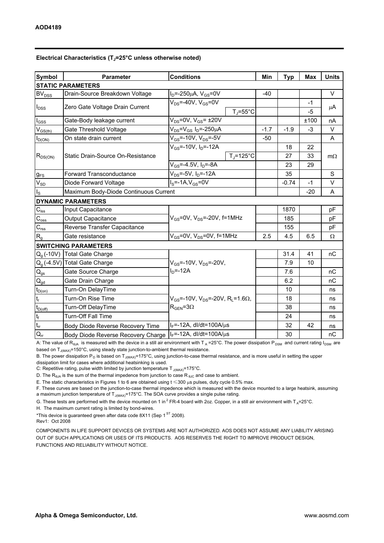| <b>Symbol</b>               | <b>Parameter</b>                      | <b>Conditions</b>                                                                            |                    | Min    | <b>Typ</b> | <b>Max</b>   | <b>Units</b> |  |  |  |  |
|-----------------------------|---------------------------------------|----------------------------------------------------------------------------------------------|--------------------|--------|------------|--------------|--------------|--|--|--|--|
| <b>STATIC PARAMETERS</b>    |                                       |                                                                                              |                    |        |            |              |              |  |  |  |  |
| <b>BV</b> <sub>DSS</sub>    | Drain-Source Breakdown Voltage        | $I_D = -250 \mu A$ , $V_{GS} = 0V$                                                           |                    | $-40$  |            |              | $\vee$       |  |  |  |  |
| $I_{DSS}$                   | Zero Gate Voltage Drain Current       | $V_{DS}$ =-40V, $V_{GS}$ =0V                                                                 | $T_{\rm J}$ =55°C  |        |            | $-1$<br>$-5$ | μA           |  |  |  |  |
| $\mathsf{I}_{\mathsf{GSS}}$ | Gate-Body leakage current             | $V_{DS}$ =0V, $V_{GS}$ = ±20V                                                                |                    |        |            | ±100         | nA           |  |  |  |  |
| $V_{GS(th)}$                | Gate Threshold Voltage                | $V_{DS} = V_{GS} I_D = -250 \mu A$                                                           |                    | $-1.7$ | $-1.9$     | $-3$         | $\vee$       |  |  |  |  |
| $I_{D(ON)}$                 | On state drain current                | $V_{GS}$ =-10V, $V_{DS}$ =-5V                                                                |                    | $-50$  |            |              | A            |  |  |  |  |
| $R_{DS(ON)}$                | Static Drain-Source On-Resistance     | $V_{GS}$ =-10V, $I_D$ =-12A                                                                  |                    |        | 18         | 22           |              |  |  |  |  |
|                             |                                       |                                                                                              | $T_{\rm J}$ =125°C |        | 27         | 33           | $m\Omega$    |  |  |  |  |
|                             |                                       | $V_{GS} = -4.5V, I_D = -8A$                                                                  |                    |        | 23         | 29           |              |  |  |  |  |
| $g_{FS}$                    | <b>Forward Transconductance</b>       | $V_{DS}$ =-5V, I <sub>D</sub> =-12A                                                          |                    |        | 35         |              | S            |  |  |  |  |
| $V_{SD}$                    | Diode Forward Voltage                 | $I_S$ =-1A, $V_{GS}$ =0V                                                                     |                    |        | $-0.74$    | $-1$         | V            |  |  |  |  |
| ls                          | Maximum Body-Diode Continuous Current |                                                                                              |                    |        |            | $-20$        | A            |  |  |  |  |
|                             | <b>DYNAMIC PARAMETERS</b>             |                                                                                              |                    |        |            |              |              |  |  |  |  |
| $C_{\text{iss}}$            | Input Capacitance                     | $V_{GS}$ =0V, $V_{DS}$ =-20V, f=1MHz                                                         |                    |        | 1870       |              | pF           |  |  |  |  |
| $\mathsf{C}_{\mathrm{oss}}$ | Output Capacitance                    |                                                                                              |                    |        | 185        |              | pF           |  |  |  |  |
| $\mathsf{C}_{\mathsf{rss}}$ | Reverse Transfer Capacitance          |                                                                                              |                    |        | 155        |              | pF           |  |  |  |  |
| $R_{q}$                     | Gate resistance                       | $V_{GS}$ =0V, $V_{DS}$ =0V, f=1MHz                                                           |                    | 2.5    | 4.5        | 6.5          | Ω            |  |  |  |  |
| <b>SWITCHING PARAMETERS</b> |                                       |                                                                                              |                    |        |            |              |              |  |  |  |  |
| $Q_q(-10V)$                 | Total Gate Charge                     | $V_{GS}$ =-10V, $V_{DS}$ =-20V,<br>$ID=-12A$                                                 |                    |        | 31.4       | 41           | nC           |  |  |  |  |
|                             | $Q_g$ (-4.5V) Total Gate Charge       |                                                                                              |                    |        | 7.9        | 10           |              |  |  |  |  |
| $\mathsf{Q}_{\mathsf{gs}}$  | Gate Source Charge                    |                                                                                              |                    |        | 7.6        |              | nC           |  |  |  |  |
| $Q_{gd}$                    | Gate Drain Charge                     |                                                                                              |                    |        | 6.2        |              | nC           |  |  |  |  |
| $t_{D(0n)}$                 | Turn-On DelayTime                     | $V_{GS}$ =-10V, $V_{DS}$ =-20V, R <sub>L</sub> =1.6 $\Omega$ ,<br>$R_{\text{GEN}} = 3\Omega$ |                    |        | 10         |              | ns           |  |  |  |  |
| $t_r$                       | Turn-On Rise Time                     |                                                                                              |                    |        | 18         |              | ns           |  |  |  |  |
| $t_{D(off)}$                | Turn-Off DelayTime                    |                                                                                              |                    |        | 38         |              | ns           |  |  |  |  |
| $\mathfrak{t}_{\mathsf{f}}$ | Turn-Off Fall Time                    |                                                                                              |                    |        | 24         |              | ns           |  |  |  |  |
| $t_{rr}$                    | Body Diode Reverse Recovery Time      | $I_F$ =-12A, dl/dt=100A/ $\mu$ s                                                             |                    |        | 32         | 42           | ns           |  |  |  |  |
| $Q_{rr}$                    | Body Diode Reverse Recovery Charge    | $I_F$ =-12A, dl/dt=100A/ $\mu$ s                                                             |                    |        | 30         |              | nC           |  |  |  |  |

A: The value of R<sub>BJA</sub> is measured with the device in a still air environment with T<sub>A</sub>=25°C. The power dissipation P<sub>DSM</sub> and current rating I<sub>DSM</sub> are based on  $T_{J(MAX)}$ =150°C, using steady state junction-to-ambient thermal resistance.

B. The power dissipation  $P_D$  is based on  $T_{J(MAX)}$ =175°C, using junction-to-case thermal resistance, and is more useful in setting the upper dissipation limit for cases where additional heatsinking is used.

C: Repetitive rating, pulse width limited by junction temperature  $T_{J(MAX)}$ =175°C.

D. The  $R_{\theta, \text{IA}}$  is the sum of the thermal impedence from junction to case  $R_{\theta, \text{IC}}$  and case to ambient.

E. The static characteristics in Figures 1 to 6 are obtained using  $t \le 300 \mu s$  pulses, duty cycle 0.5% max.

F. These curves are based on the junction-to-case thermal impedence which is measured with the device mounted to a large heatsink, assuming a maximum junction temperature of  $T_{J(MAX)}$ =175°C. The SOA curve provides a single pulse rating.

G. These tests are performed with the device mounted on 1 in<sup>2</sup> FR-4 board with 2oz. Copper, in a still air environment with T<sub>A</sub>=25°C.

H. The maximum current rating is limited by bond-wires.

\*This device is guaranteed green after data code 8X11 (Sep 1 $\mathrm{^{ST}}$  2008).

Rev1: Oct 2008

COMPONENTS IN LIFE SUPPORT DEVICES OR SYSTEMS ARE NOT AUTHORIZED. AOS DOES NOT ASSUME ANY LIABILITY ARISING OUT OF SUCH APPLICATIONS OR USES OF ITS PRODUCTS. AOS RESERVES THE RIGHT TO IMPROVE PRODUCT DESIGN, FUNCTIONS AND RELIABILITY WITHOUT NOTICE.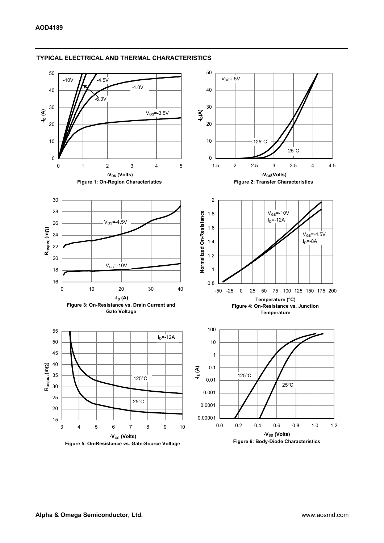

#### TYPICAL ELECTRICAL AND THERMAL CHARACTERISTICS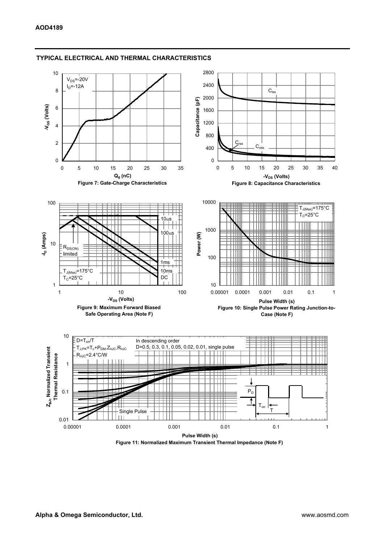

### TYPICAL ELECTRICAL AND THERMAL CHARACTERISTICS

Figure 11: Normalized Maximum Transient Thermal Impedance (Note F)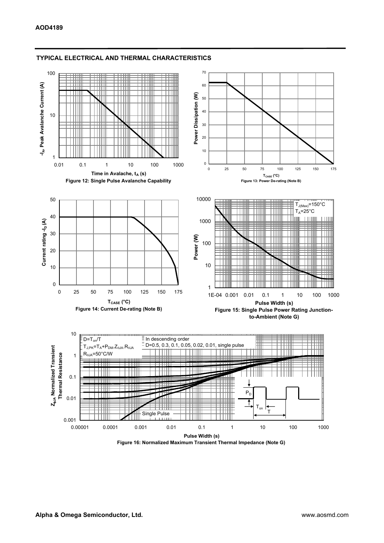

#### TYPICAL ELECTRICAL AND THERMAL CHARACTERISTICS

Figure 16: Normalized Maximum Transient Thermal Impedance (Note G)